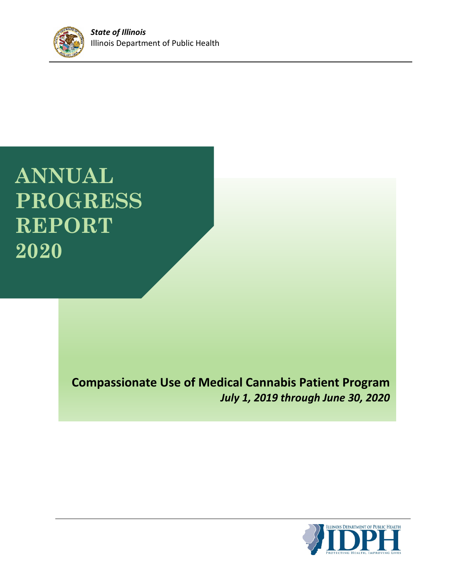

# **ANNUAL PROGRESS REPORT 2020**

## **Compassionate Use of Medical Cannabis Patient Program** *July 1, 2019 through June 30, 2020*

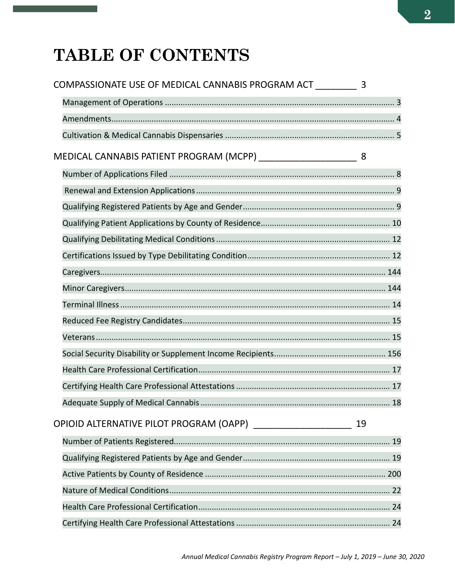## **TABLE OF CONTENTS**

| COMPASSIONATE USE OF MEDICAL CANNABIS PROGRAM ACT 3              |    |
|------------------------------------------------------------------|----|
|                                                                  |    |
|                                                                  |    |
|                                                                  |    |
| MEDICAL CANNABIS PATIENT PROGRAM (MCPP) ________________________ |    |
|                                                                  |    |
|                                                                  |    |
|                                                                  |    |
|                                                                  |    |
|                                                                  |    |
|                                                                  |    |
|                                                                  |    |
|                                                                  |    |
|                                                                  |    |
|                                                                  |    |
|                                                                  |    |
|                                                                  |    |
|                                                                  |    |
|                                                                  |    |
|                                                                  |    |
| OPIOID ALTERNATIVE PILOT PROGRAM (OAPP) _____________________    | 19 |
|                                                                  |    |
|                                                                  |    |
|                                                                  |    |
|                                                                  |    |
|                                                                  |    |
|                                                                  |    |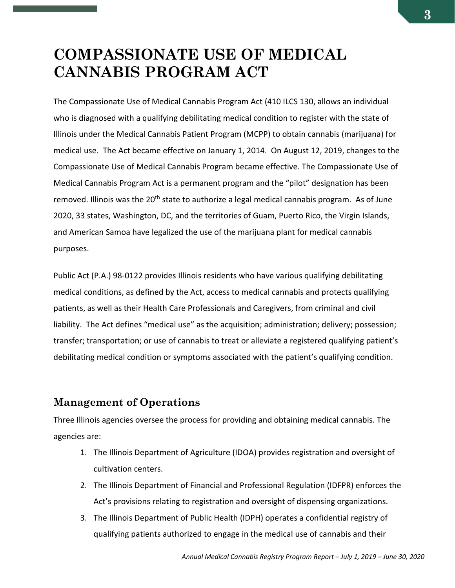## <span id="page-2-0"></span>**COMPASSIONATE USE OF MEDICAL CANNABIS PROGRAM ACT**

The Compassionate Use of Medical Cannabis Program Act (410 ILCS 130, allows an individual who is diagnosed with a qualifying debilitating medical condition to register with the state of Illinois under the Medical Cannabis Patient Program (MCPP) to obtain cannabis (marijuana) for medical use. The Act became effective on January 1, 2014. On August 12, 2019, changes to the Compassionate Use of Medical Cannabis Program became effective. The Compassionate Use of Medical Cannabis Program Act is a permanent program and the "pilot" designation has been removed. Illinois was the 20<sup>th</sup> state to authorize a legal medical cannabis program. As of June 2020, 33 states, Washington, DC, and the territories of Guam, Puerto Rico, the Virgin Islands, and American Samoa have legalized the use of the marijuana plant for medical cannabis purposes.

Public Act (P.A.) 98-0122 provides Illinois residents who have various qualifying debilitating medical conditions, as defined by the Act, access to medical cannabis and protects qualifying patients, as well as their Health Care Professionals and Caregivers, from criminal and civil liability. The Act defines "medical use" as the acquisition; administration; delivery; possession; transfer; transportation; or use of cannabis to treat or alleviate a registered qualifying patient's debilitating medical condition or symptoms associated with the patient's qualifying condition.

### <span id="page-2-1"></span>**Management of Operations**

Three Illinois agencies oversee the process for providing and obtaining medical cannabis. The agencies are:

- 1. The Illinois Department of Agriculture (IDOA) provides registration and oversight of cultivation centers.
- 2. The Illinois Department of Financial and Professional Regulation (IDFPR) enforces the Act's provisions relating to registration and oversight of dispensing organizations.
- 3. The Illinois Department of Public Health (IDPH) operates a confidential registry of qualifying patients authorized to engage in the medical use of cannabis and their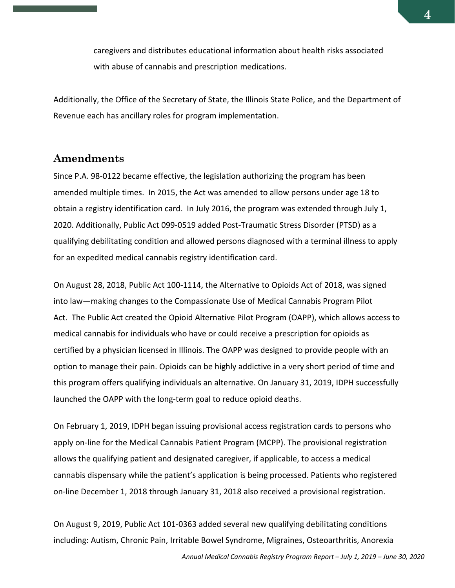caregivers and distributes educational information about health risks associated with abuse of cannabis and prescription medications.

Additionally, the Office of the Secretary of State, the Illinois State Police, and the Department of Revenue each has ancillary roles for program implementation.

#### <span id="page-3-0"></span>**Amendments**

Since P.A. 98-0122 became effective, the legislation authorizing the program has been amended multiple times. In 2015, the Act was amended to allow persons under age 18 to obtain a registry identification card. In July 2016, the program was extended through July 1, 2020. Additionally, Public Act 099-0519 added Post-Traumatic Stress Disorder (PTSD) as a qualifying debilitating condition and allowed persons diagnosed with a terminal illness to apply for an expedited medical cannabis registry identification card.

On August 28, 2018, Public Act 100-1114, the Alternative to Opioids Act of 2018, was signed into law—making changes to the Compassionate Use of Medical Cannabis Program Pilot Act. The Public Act created the Opioid Alternative Pilot Program (OAPP), which allows access to medical cannabis for individuals who have or could receive a prescription for opioids as certified by a physician licensed in Illinois. The OAPP was designed to provide people with an option to manage their pain. Opioids can be highly addictive in a very short period of time and this program offers qualifying individuals an alternative. On January 31, 2019, IDPH successfully launched the OAPP with the long-term goal to reduce opioid deaths.

On February 1, 2019, IDPH began issuing provisional access registration cards to persons who apply on-line for the Medical Cannabis Patient Program (MCPP). The provisional registration allows the qualifying patient and designated caregiver, if applicable, to access a medical cannabis dispensary while the patient's application is being processed. Patients who registered on-line December 1, 2018 through January 31, 2018 also received a provisional registration.

On August 9, 2019, Public Act 101-0363 added several new qualifying debilitating conditions including: Autism, Chronic Pain, Irritable Bowel Syndrome, Migraines, Osteoarthritis, Anorexia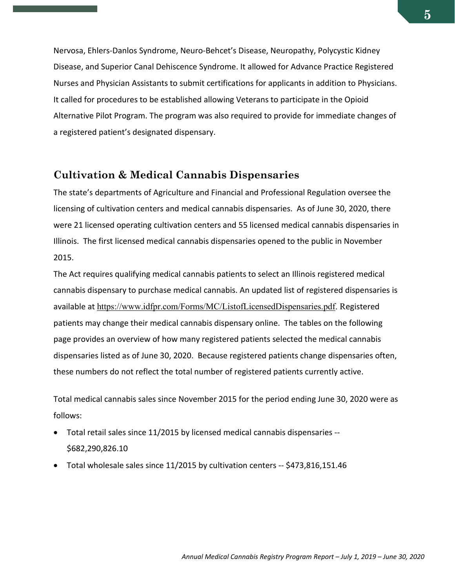Nervosa, Ehlers-Danlos Syndrome, Neuro-Behcet's Disease, Neuropathy, Polycystic Kidney Disease, and Superior Canal Dehiscence Syndrome. It allowed for Advance Practice Registered Nurses and Physician Assistants to submit certifications for applicants in addition to Physicians. It called for procedures to be established allowing Veterans to participate in the Opioid Alternative Pilot Program. The program was also required to provide for immediate changes of a registered patient's designated dispensary.

#### <span id="page-4-0"></span>**Cultivation & Medical Cannabis Dispensaries**

The state's departments of Agriculture and Financial and Professional Regulation oversee the licensing of cultivation centers and medical cannabis dispensaries. As of June 30, 2020, there were 21 licensed operating cultivation centers and 55 licensed medical cannabis dispensaries in Illinois. The first licensed medical cannabis dispensaries opened to the public in November 2015.

The Act requires qualifying medical cannabis patients to select an Illinois registered medical cannabis dispensary to purchase medical cannabis. An updated list of registered dispensaries is available at https://www.idfpr.com/Forms/MC/ListofLicensedDispensaries.pdf. Registered patients may change their medical cannabis dispensary online. The tables on the following page provides an overview of how many registered patients selected the medical cannabis dispensaries listed as of June 30, 2020. Because registered patients change dispensaries often, these numbers do not reflect the total number of registered patients currently active.

Total medical cannabis sales since November 2015 for the period ending June 30, 2020 were as follows:

- Total retail sales since 11/2015 by licensed medical cannabis dispensaries -- \$682,290,826.10
- Total wholesale sales since 11/2015 by cultivation centers -- \$473,816,151.46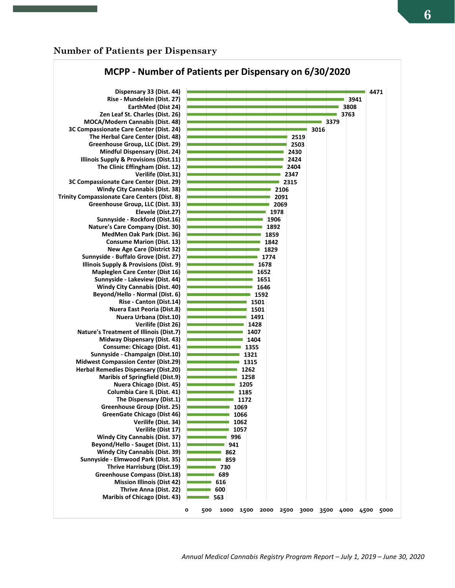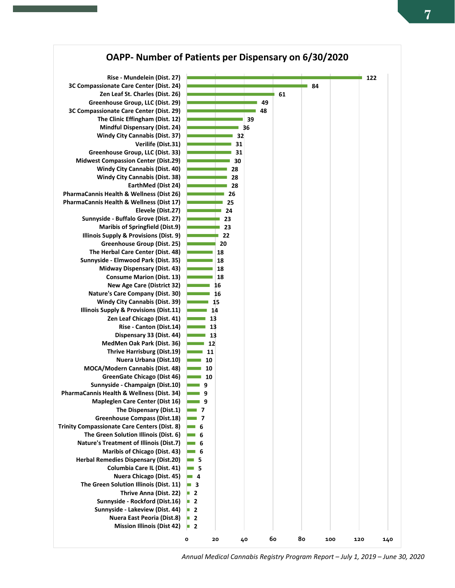

*Annual Medical Cannabis Registry Program Report – July 1, 2019 – June 30, 2020*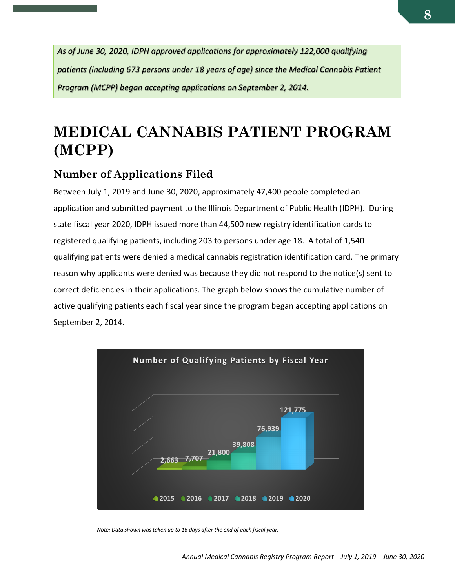*As of June 30, 2020, IDPH approved applications for approximately 122,000 qualifying patients (including 673 persons under 18 years of age) since the Medical Cannabis Patient Program (MCPP) began accepting applications on September 2, 2014.*

## <span id="page-7-0"></span>**MEDICAL CANNABIS PATIENT PROGRAM (MCPP)**

## <span id="page-7-1"></span>**Number of Applications Filed**

Between July 1, 2019 and June 30, 2020, approximately 47,400 people completed an application and submitted payment to the Illinois Department of Public Health (IDPH). During state fiscal year 2020, IDPH issued more than 44,500 new registry identification cards to registered qualifying patients, including 203 to persons under age 18. A total of 1,540 qualifying patients were denied a medical cannabis registration identification card. The primary reason why applicants were denied was because they did not respond to the notice(s) sent to correct deficiencies in their applications. The graph below shows the cumulative number of active qualifying patients each fiscal year since the program began accepting applications on September 2, 2014.



*Note: Data shown was taken up to 16 days after the end of each fiscal year.*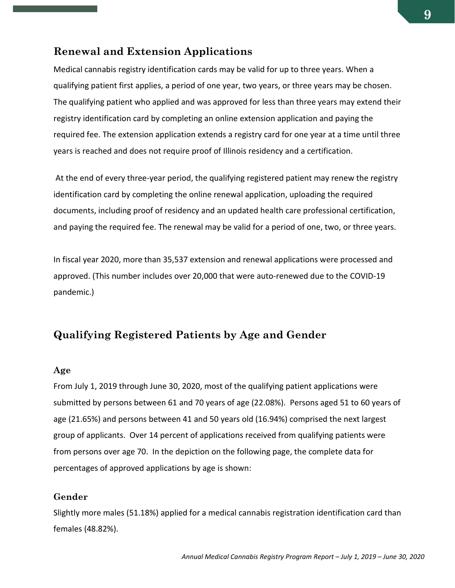#### <span id="page-8-0"></span>**Renewal and Extension Applications**

Medical cannabis registry identification cards may be valid for up to three years. When a qualifying patient first applies, a period of one year, two years, or three years may be chosen. The qualifying patient who applied and was approved for less than three years may extend their registry identification card by completing an online extension application and paying the required fee. The extension application extends a registry card for one year at a time until three years is reached and does not require proof of Illinois residency and a certification.

At the end of every three-year period, the qualifying registered patient may renew the registry identification card by completing the online renewal application, uploading the required documents, including proof of residency and an updated health care professional certification, and paying the required fee. The renewal may be valid for a period of one, two, or three years.

In fiscal year 2020, more than 35,537 extension and renewal applications were processed and approved. (This number includes over 20,000 that were auto-renewed due to the COVID-19 pandemic.)

### **Qualifying Registered Patients by Age and Gender**

#### **Age**

From July 1, 2019 through June 30, 2020, most of the qualifying patient applications were submitted by persons between 61 and 70 years of age (22.08%). Persons aged 51 to 60 years of age (21.65%) and persons between 41 and 50 years old (16.94%) comprised the next largest group of applicants. Over 14 percent of applications received from qualifying patients were from persons over age 70. In the depiction on the following page, the complete data for percentages of approved applications by age is shown:

#### **Gender**

Slightly more males (51.18%) applied for a medical cannabis registration identification card than females (48.82%).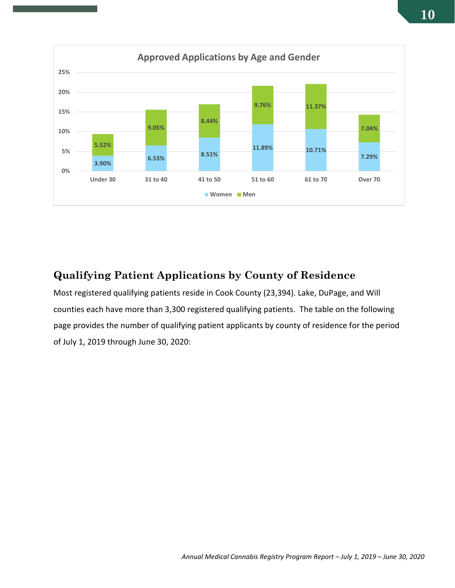

## <span id="page-9-0"></span>**Qualifying Patient Applications by County of Residence**

Most registered qualifying patients reside in Cook County (23,394). Lake, DuPage, and Will counties each have more than 3,300 registered qualifying patients. The table on the following page provides the number of qualifying patient applicants by county of residence for the period of July 1, 2019 through June 30, 2020: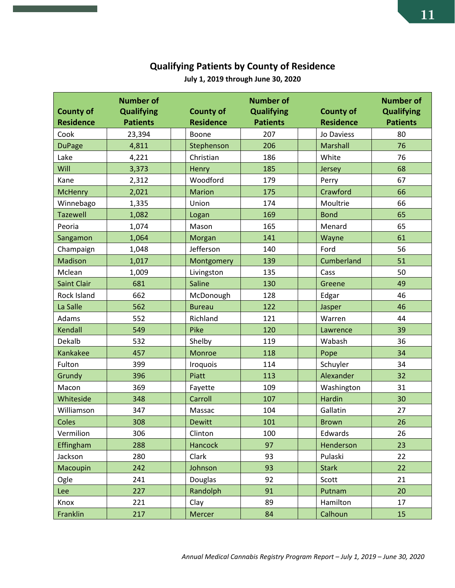## **Qualifying Patients by County of Residence**

| <b>County of</b><br><b>Residence</b> | <b>Number of</b><br><b>Qualifying</b><br><b>Patients</b> | <b>County of</b><br><b>Residence</b> | <b>Number of</b><br><b>Qualifying</b><br><b>Patients</b> | <b>County of</b><br><b>Residence</b> | <b>Number of</b><br><b>Qualifying</b><br><b>Patients</b> |
|--------------------------------------|----------------------------------------------------------|--------------------------------------|----------------------------------------------------------|--------------------------------------|----------------------------------------------------------|
| Cook                                 | 23,394                                                   | Boone                                | 207                                                      | Jo Daviess                           | 80                                                       |
| <b>DuPage</b>                        | 4,811                                                    | Stephenson                           | 206                                                      | Marshall                             | 76                                                       |
| Lake                                 | 4,221                                                    | Christian                            | 186                                                      | White                                | 76                                                       |
| Will                                 | 3,373                                                    | Henry                                | 185                                                      | Jersey                               | 68                                                       |
| Kane                                 | 2,312                                                    | Woodford                             | 179                                                      | Perry                                | 67                                                       |
| <b>McHenry</b>                       | 2,021                                                    | <b>Marion</b>                        | 175                                                      | Crawford                             | 66                                                       |
| Winnebago                            | 1,335                                                    | Union                                | 174                                                      | Moultrie                             | 66                                                       |
| <b>Tazewell</b>                      | 1,082                                                    | Logan                                | 169                                                      | <b>Bond</b>                          | 65                                                       |
| Peoria                               | 1,074                                                    | Mason                                | 165                                                      | Menard                               | 65                                                       |
| Sangamon                             | 1,064                                                    | Morgan                               | 141                                                      | Wayne                                | 61                                                       |
| Champaign                            | 1,048                                                    | Jefferson                            | 140                                                      | Ford                                 | 56                                                       |
| Madison                              | 1,017                                                    | Montgomery                           | 139                                                      | Cumberland                           | 51                                                       |
| Mclean                               | 1,009                                                    | Livingston                           | 135                                                      | Cass                                 | 50                                                       |
| <b>Saint Clair</b>                   | 681                                                      | Saline                               | 130                                                      | Greene                               | 49                                                       |
| Rock Island                          | 662                                                      | McDonough                            | 128                                                      | Edgar                                | 46                                                       |
| La Salle                             | 562                                                      | <b>Bureau</b>                        | 122                                                      | Jasper                               | 46                                                       |
| Adams                                | 552                                                      | Richland                             | 121                                                      | Warren                               | 44                                                       |
| Kendall                              | 549                                                      | Pike                                 | 120                                                      | Lawrence                             | 39                                                       |
| Dekalb                               | 532                                                      | Shelby                               | 119                                                      | Wabash                               | 36                                                       |
| Kankakee                             | 457                                                      | Monroe                               | 118                                                      | Pope                                 | 34                                                       |
| Fulton                               | 399                                                      | <b>Iroquois</b>                      | 114                                                      | Schuyler                             | 34                                                       |
| Grundy                               | 396                                                      | Piatt                                | 113                                                      | Alexander                            | 32                                                       |
| Macon                                | 369                                                      | Fayette                              | 109                                                      | Washington                           | 31                                                       |
| Whiteside                            | 348                                                      | Carroll                              | 107                                                      | Hardin                               | 30                                                       |
| Williamson                           | 347                                                      | Massac                               | 104                                                      | Gallatin                             | 27                                                       |
| Coles                                | 308                                                      | <b>Dewitt</b>                        | 101                                                      | <b>Brown</b>                         | 26                                                       |
| Vermilion                            | 306                                                      | Clinton                              | 100                                                      | Edwards                              | 26                                                       |
| Effingham                            | 288                                                      | <b>Hancock</b>                       | 97                                                       | Henderson                            | 23                                                       |
| Jackson                              | 280                                                      | Clark                                | 93                                                       | Pulaski                              | 22                                                       |
| Macoupin                             | 242                                                      | Johnson                              | 93                                                       | <b>Stark</b>                         | 22                                                       |
| Ogle                                 | 241                                                      | Douglas                              | 92                                                       | Scott                                | 21                                                       |
| Lee                                  | 227                                                      | Randolph                             | 91                                                       | Putnam                               | 20                                                       |
| Knox                                 | 221                                                      | Clay                                 | 89                                                       | Hamilton                             | 17                                                       |
| Franklin                             | 217                                                      | Mercer                               | 84                                                       | Calhoun                              | 15                                                       |

**July 1, 2019 through June 30, 2020**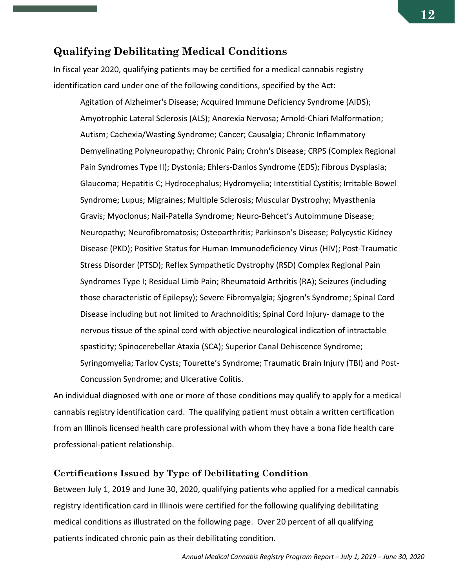#### <span id="page-11-0"></span>**Qualifying Debilitating Medical Conditions**

In fiscal year 2020, qualifying patients may be certified for a medical cannabis registry identification card under one of the following conditions, specified by the Act:

Agitation of Alzheimer's Disease; Acquired Immune Deficiency Syndrome (AIDS); Amyotrophic Lateral Sclerosis (ALS); Anorexia Nervosa; Arnold-Chiari Malformation; Autism; Cachexia/Wasting Syndrome; Cancer; Causalgia; Chronic Inflammatory Demyelinating Polyneuropathy; Chronic Pain; Crohn's Disease; CRPS (Complex Regional Pain Syndromes Type II); Dystonia; Ehlers-Danlos Syndrome (EDS); Fibrous Dysplasia; Glaucoma; Hepatitis C; Hydrocephalus; Hydromyelia; Interstitial Cystitis; Irritable Bowel Syndrome; Lupus; Migraines; Multiple Sclerosis; Muscular Dystrophy; Myasthenia Gravis; Myoclonus; Nail-Patella Syndrome; Neuro-Behcet's Autoimmune Disease; Neuropathy; Neurofibromatosis; Osteoarthritis; Parkinson's Disease; Polycystic Kidney Disease (PKD); Positive Status for Human Immunodeficiency Virus (HIV); Post-Traumatic Stress Disorder (PTSD); Reflex Sympathetic Dystrophy (RSD) Complex Regional Pain Syndromes Type I; Residual Limb Pain; Rheumatoid Arthritis (RA); Seizures (including those characteristic of Epilepsy); Severe Fibromyalgia; Sjogren's Syndrome; Spinal Cord Disease including but not limited to Arachnoiditis; Spinal Cord Injury- damage to the nervous tissue of the spinal cord with objective neurological indication of intractable spasticity; Spinocerebellar Ataxia (SCA); Superior Canal Dehiscence Syndrome; Syringomyelia; Tarlov Cysts; Tourette's Syndrome; Traumatic Brain Injury (TBI) and Post-Concussion Syndrome; and Ulcerative Colitis.

An individual diagnosed with one or more of those conditions may qualify to apply for a medical cannabis registry identification card. The qualifying patient must obtain a written certification from an Illinois licensed health care professional with whom they have a bona fide health care professional-patient relationship.

#### **Certifications Issued by Type of Debilitating Condition**

Between July 1, 2019 and June 30, 2020, qualifying patients who applied for a medical cannabis registry identification card in Illinois were certified for the following qualifying debilitating medical conditions as illustrated on the following page. Over 20 percent of all qualifying patients indicated chronic pain as their debilitating condition.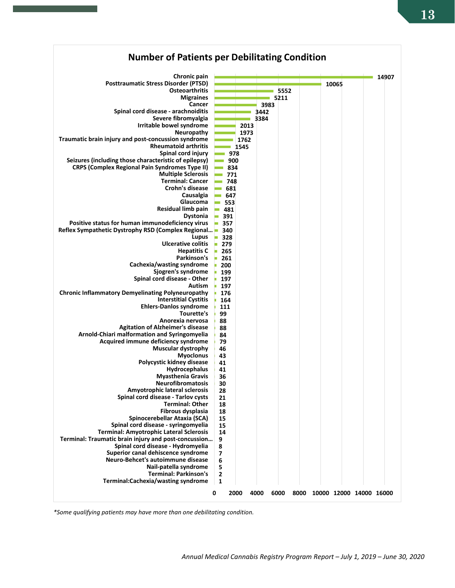

*\*Some qualifying patients may have more than one debilitating condition.*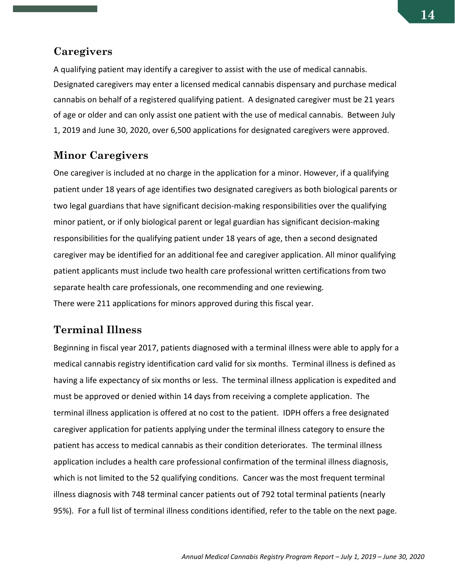#### <span id="page-13-0"></span>**Caregivers**

A qualifying patient may identify a caregiver to assist with the use of medical cannabis. Designated caregivers may enter a licensed medical cannabis dispensary and purchase medical cannabis on behalf of a registered qualifying patient. A designated caregiver must be 21 years of age or older and can only assist one patient with the use of medical cannabis. Between July 1, 2019 and June 30, 2020, over 6,500 applications for designated caregivers were approved.

#### <span id="page-13-1"></span>**Minor Caregivers**

One caregiver is included at no charge in the application for a minor. However, if a qualifying patient under 18 years of age identifies two designated caregivers as both biological parents or two legal guardians that have significant decision-making responsibilities over the qualifying minor patient, or if only biological parent or legal guardian has significant decision-making responsibilities for the qualifying patient under 18 years of age, then a second designated caregiver may be identified for an additional fee and caregiver application. All minor qualifying patient applicants must include two health care professional written certifications from two separate health care professionals, one recommending and one reviewing. There were 211 applications for minors approved during this fiscal year.

## **Terminal Illness**

Beginning in fiscal year 2017, patients diagnosed with a terminal illness were able to apply for a medical cannabis registry identification card valid for six months. Terminal illness is defined as having a life expectancy of six months or less. The terminal illness application is expedited and must be approved or denied within 14 days from receiving a complete application. The terminal illness application is offered at no cost to the patient. IDPH offers a free designated caregiver application for patients applying under the terminal illness category to ensure the patient has access to medical cannabis as their condition deteriorates. The terminal illness application includes a health care professional confirmation of the terminal illness diagnosis, which is not limited to the 52 qualifying conditions. Cancer was the most frequent terminal illness diagnosis with 748 terminal cancer patients out of 792 total terminal patients (nearly 95%). For a full list of terminal illness conditions identified, refer to the table on the next page.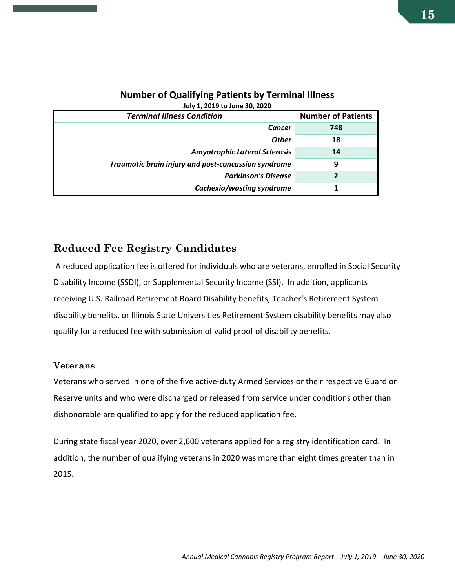| <b>Terminal Illness Condition</b>                   | <b>Number of Patients</b> |
|-----------------------------------------------------|---------------------------|
| <b>Cancer</b>                                       | 748                       |
| <b>Other</b>                                        | 18                        |
| <b>Amyotrophic Lateral Sclerosis</b>                | 14                        |
| Traumatic brain injury and post-concussion syndrome | 9                         |
| <b>Parkinson's Disease</b>                          |                           |
| Cachexia/wasting syndrome                           |                           |

#### **Number of Qualifying Patients by Terminal Illness July 1, 2019 to June 30, 2020**

## <span id="page-14-0"></span>**Reduced Fee Registry Candidates**

A reduced application fee is offered for individuals who are veterans, enrolled in Social Security Disability Income (SSDI), or Supplemental Security Income (SSI). In addition, applicants receiving U.S. Railroad Retirement Board Disability benefits, Teacher's Retirement System disability benefits, or Illinois State Universities Retirement System disability benefits may also qualify for a reduced fee with submission of valid proof of disability benefits.

#### **Veterans**

Veterans who served in one of the five active-duty Armed Services or their respective Guard or Reserve units and who were discharged or released from service under conditions other than dishonorable are qualified to apply for the reduced application fee.

During state fiscal year 2020, over 2,600 veterans applied for a registry identification card. In addition, the number of qualifying veterans in 2020 was more than eight times greater than in 2015.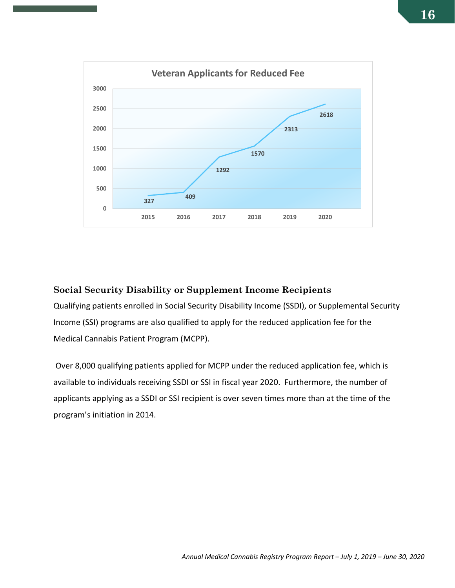

#### **Social Security Disability or Supplement Income Recipients**

Qualifying patients enrolled in Social Security Disability Income (SSDI), or Supplemental Security Income (SSI) programs are also qualified to apply for the reduced application fee for the Medical Cannabis Patient Program (MCPP).

Over 8,000 qualifying patients applied for MCPP under the reduced application fee, which is available to individuals receiving SSDI or SSI in fiscal year 2020. Furthermore, the number of applicants applying as a SSDI or SSI recipient is over seven times more than at the time of the program's initiation in 2014.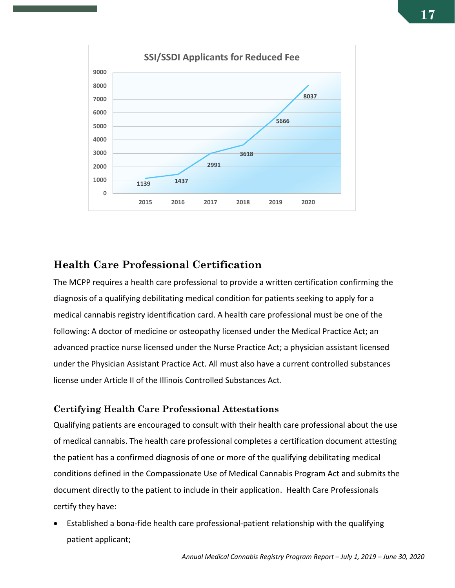

### <span id="page-16-0"></span>**Health Care Professional Certification**

The MCPP requires a health care professional to provide a written certification confirming the diagnosis of a qualifying debilitating medical condition for patients seeking to apply for a medical cannabis registry identification card. A health care professional must be one of the following: A doctor of medicine or osteopathy licensed under the Medical Practice Act; an advanced practice nurse licensed under the Nurse Practice Act; a physician assistant licensed under the Physician Assistant Practice Act. All must also have a current controlled substances license under Article II of the Illinois Controlled Substances Act.

#### **Certifying Health Care Professional Attestations**

Qualifying patients are encouraged to consult with their health care professional about the use of medical cannabis. The health care professional completes a certification document attesting the patient has a confirmed diagnosis of one or more of the qualifying debilitating medical conditions defined in the Compassionate Use of Medical Cannabis Program Act and submits the document directly to the patient to include in their application. Health Care Professionals certify they have:

• Established a bona-fide health care professional-patient relationship with the qualifying patient applicant;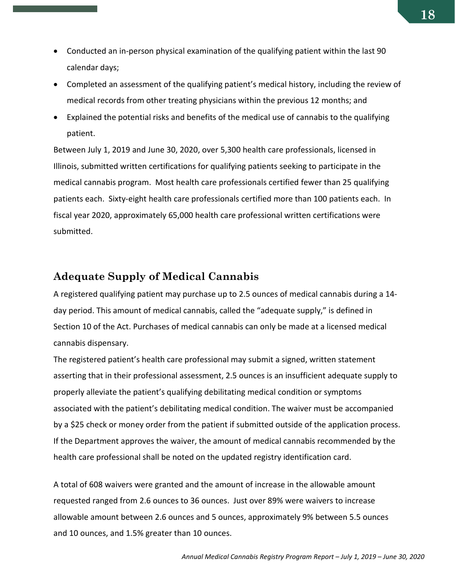- Conducted an in-person physical examination of the qualifying patient within the last 90 calendar days;
- Completed an assessment of the qualifying patient's medical history, including the review of medical records from other treating physicians within the previous 12 months; and
- Explained the potential risks and benefits of the medical use of cannabis to the qualifying patient.

Between July 1, 2019 and June 30, 2020, over 5,300 health care professionals, licensed in Illinois, submitted written certifications for qualifying patients seeking to participate in the medical cannabis program. Most health care professionals certified fewer than 25 qualifying patients each. Sixty-eight health care professionals certified more than 100 patients each. In fiscal year 2020, approximately 65,000 health care professional written certifications were submitted.

#### <span id="page-17-0"></span>**Adequate Supply of Medical Cannabis**

A registered qualifying patient may purchase up to 2.5 ounces of medical cannabis during a 14 day period. This amount of medical cannabis, called the "adequate supply," is defined in Section 10 of the Act. Purchases of medical cannabis can only be made at a licensed medical cannabis dispensary.

The registered patient's health care professional may submit a signed, written statement asserting that in their professional assessment, 2.5 ounces is an insufficient adequate supply to properly alleviate the patient's qualifying debilitating medical condition or symptoms associated with the patient's debilitating medical condition. The waiver must be accompanied by a \$25 check or money order from the patient if submitted outside of the application process. If the Department approves the waiver, the amount of medical cannabis recommended by the health care professional shall be noted on the updated registry identification card.

A total of 608 waivers were granted and the amount of increase in the allowable amount requested ranged from 2.6 ounces to 36 ounces. Just over 89% were waivers to increase allowable amount between 2.6 ounces and 5 ounces, approximately 9% between 5.5 ounces and 10 ounces, and 1.5% greater than 10 ounces.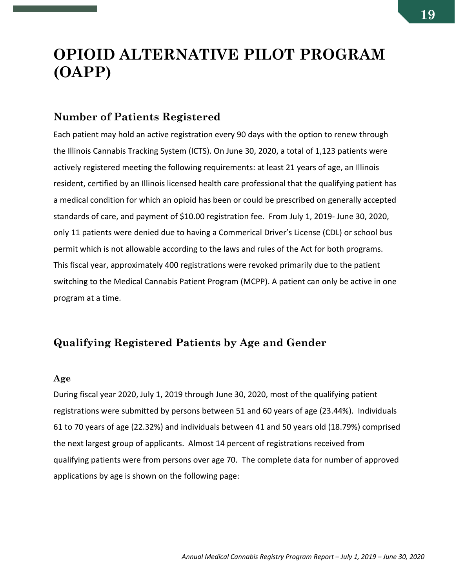## <span id="page-18-0"></span>**OPIOID ALTERNATIVE PILOT PROGRAM (OAPP)**

#### <span id="page-18-1"></span>**Number of Patients Registered**

Each patient may hold an active registration every 90 days with the option to renew through the Illinois Cannabis Tracking System (ICTS). On June 30, 2020, a total of 1,123 patients were actively registered meeting the following requirements: at least 21 years of age, an Illinois resident, certified by an Illinois licensed health care professional that the qualifying patient has a medical condition for which an opioid has been or could be prescribed on generally accepted standards of care, and payment of \$10.00 registration fee. From July 1, 2019- June 30, 2020, only 11 patients were denied due to having a Commerical Driver's License (CDL) or school bus permit which is not allowable according to the laws and rules of the Act for both programs. This fiscal year, approximately 400 registrations were revoked primarily due to the patient switching to the Medical Cannabis Patient Program (MCPP). A patient can only be active in one program at a time.

### <span id="page-18-2"></span>**Qualifying Registered Patients by Age and Gender**

#### **Age**

During fiscal year 2020, July 1, 2019 through June 30, 2020, most of the qualifying patient registrations were submitted by persons between 51 and 60 years of age (23.44%). Individuals 61 to 70 years of age (22.32%) and individuals between 41 and 50 years old (18.79%) comprised the next largest group of applicants. Almost 14 percent of registrations received from qualifying patients were from persons over age 70. The complete data for number of approved applications by age is shown on the following page: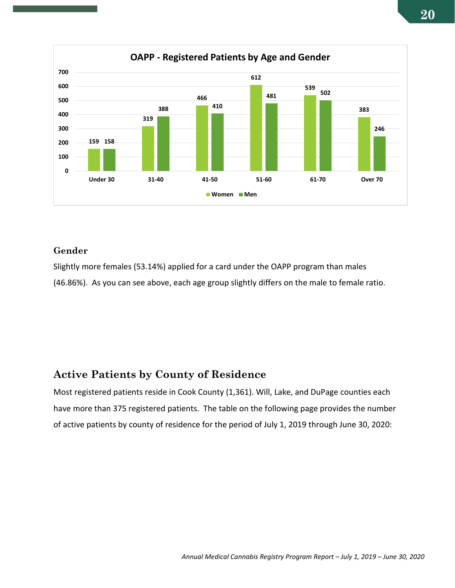

#### **Gender**

Slightly more females (53.14%) applied for a card under the OAPP program than males (46.86%). As you can see above, each age group slightly differs on the male to female ratio.

## <span id="page-19-0"></span>**Active Patients by County of Residence**

Most registered patients reside in Cook County (1,361). Will, Lake, and DuPage counties each have more than 375 registered patients. The table on the following page provides the number of active patients by county of residence for the period of July 1, 2019 through June 30, 2020: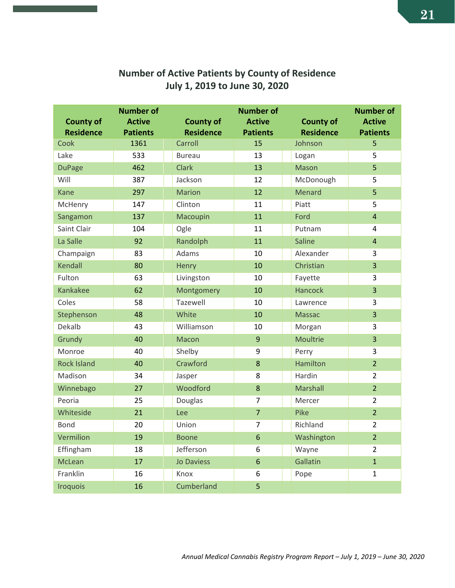|                    | <b>Number of</b> |                   | <b>Number of</b> |                  | <b>Number of</b> |
|--------------------|------------------|-------------------|------------------|------------------|------------------|
| <b>County of</b>   | <b>Active</b>    | <b>County of</b>  | <b>Active</b>    | <b>County of</b> | <b>Active</b>    |
| <b>Residence</b>   | <b>Patients</b>  | <b>Residence</b>  | <b>Patients</b>  | <b>Residence</b> | <b>Patients</b>  |
| Cook               | 1361             | Carroll           | 15               | Johnson          | 5                |
| Lake               | 533              | <b>Bureau</b>     | 13               | Logan            | 5                |
| <b>DuPage</b>      | 462              | <b>Clark</b>      | 13               | <b>Mason</b>     | $\overline{5}$   |
| Will               | 387              | Jackson           | 12               | McDonough        | 5                |
| Kane               | 297              | <b>Marion</b>     | 12               | Menard           | 5                |
| McHenry            | 147              | Clinton           | 11               | Piatt            | 5                |
| Sangamon           | 137              | Macoupin          | 11               | Ford             | $\overline{4}$   |
| Saint Clair        | 104              | Ogle              | 11               | Putnam           | 4                |
| La Salle           | 92               | Randolph          | 11               | <b>Saline</b>    | $\overline{4}$   |
| Champaign          | 83               | Adams             | 10               | Alexander        | 3                |
| Kendall            | 80               | Henry             | 10               | Christian        | $\overline{3}$   |
| Fulton             | 63               | Livingston        | 10               | Fayette          | 3                |
| Kankakee           | 62               | Montgomery        | 10               | <b>Hancock</b>   | $\overline{3}$   |
| Coles              | 58               | Tazewell          | 10               | Lawrence         | 3                |
| Stephenson         | 48               | White             | 10               | <b>Massac</b>    | $\overline{3}$   |
| Dekalb             | 43               | Williamson        | 10               | Morgan           | 3                |
| Grundy             | 40               | Macon             | $\overline{9}$   | Moultrie         | 3                |
| Monroe             | 40               | Shelby            | 9                | Perry            | 3                |
| <b>Rock Island</b> | 40               | Crawford          | 8                | <b>Hamilton</b>  | $\overline{2}$   |
| Madison            | 34               | Jasper            | 8                | Hardin           | $\overline{2}$   |
| Winnebago          | 27               | Woodford          | 8                | Marshall         | $\overline{2}$   |
| Peoria             | 25               | Douglas           | $\overline{7}$   | Mercer           | $\overline{2}$   |
| Whiteside          | 21               | Lee               | $\overline{7}$   | Pike             | $\overline{2}$   |
| <b>Bond</b>        | 20               | Union             | $\overline{7}$   | Richland         | $\overline{2}$   |
| Vermilion          | 19               | <b>Boone</b>      | $6\phantom{1}6$  | Washington       | $\overline{2}$   |
| Effingham          | 18               | Jefferson         | 6                | Wayne            | $\overline{2}$   |
| McLean             | 17               | <b>Jo Daviess</b> | $6\phantom{1}6$  | Gallatin         | $\mathbf{1}$     |
| Franklin           | 16               | Knox              | 6                | Pope             | 1                |
| <b>Iroquois</b>    | 16               | Cumberland        | 5                |                  |                  |

## **Number of Active Patients by County of Residence July 1, 2019 to June 30, 2020**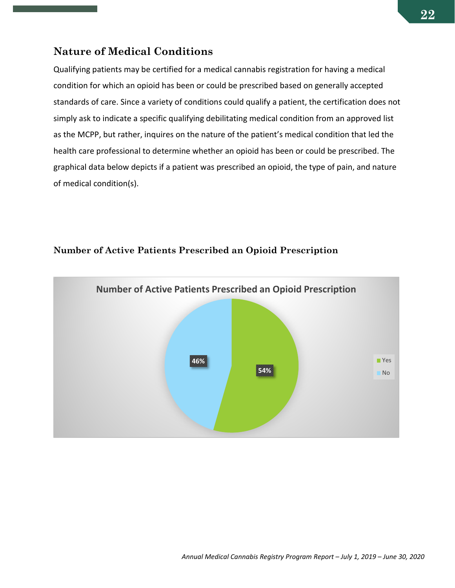#### <span id="page-21-0"></span>**Nature of Medical Conditions**

Qualifying patients may be certified for a medical cannabis registration for having a medical condition for which an opioid has been or could be prescribed based on generally accepted standards of care. Since a variety of conditions could qualify a patient, the certification does not simply ask to indicate a specific qualifying debilitating medical condition from an approved list as the MCPP, but rather, inquires on the nature of the patient's medical condition that led the health care professional to determine whether an opioid has been or could be prescribed. The graphical data below depicts if a patient was prescribed an opioid, the type of pain, and nature of medical condition(s).

#### **Number of Active Patients Prescribed an Opioid Prescription**

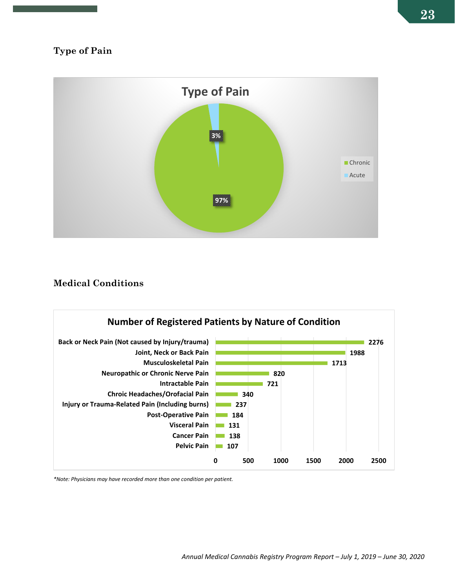

#### **Medical Conditions**



*\*Note: Physicians may have recorded more than one condition per patient.*